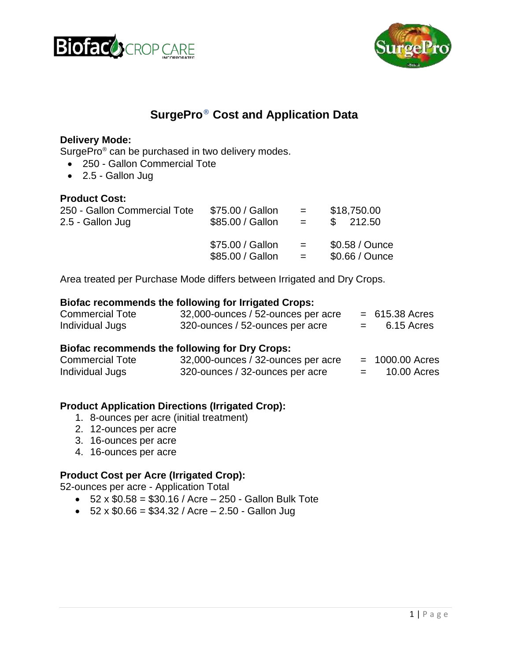



# **SurgePro**® **Cost and Application Data**

### **Delivery Mode:**

SurgePro<sup>®</sup> can be purchased in two delivery modes.

- 250 Gallon Commercial Tote
- 2.5 Gallon Jug

#### **Product Cost:**

| 250 - Gallon Commercial Tote | \$75.00 / Gallon | $\mathbf{r} = \mathbf{r}$ | \$18,750.00     |
|------------------------------|------------------|---------------------------|-----------------|
| 2.5 - Gallon Jug             | \$85.00 / Gallon | $\mathbf{r} = \mathbf{r}$ | \$212.50        |
|                              | \$75.00 / Gallon | $\mathbf{r} = \mathbf{r}$ | $$0.58 /$ Ounce |
|                              | \$85.00 / Gallon | $\mathbf{r} = \mathbf{r}$ | \$0.66 / Ounce  |

Area treated per Purchase Mode differs between Irrigated and Dry Crops.

#### **Biofac recommends the following for Irrigated Crops:**

| <b>Commercial Tote</b> | 32,000-ounces / 52-ounces per acre | $= 615.38$ Acres |
|------------------------|------------------------------------|------------------|
| Individual Jugs        | 320-ounces / 52-ounces per acre    | 6.15 Acres       |

#### **Biofac recommends the following for Dry Crops:**

| <b>Commercial Tote</b> | 32,000-ounces / 32-ounces per acre | $= 1000.00$ Acres |
|------------------------|------------------------------------|-------------------|
| Individual Jugs        | 320-ounces / 32-ounces per acre    | 10.00 Acres       |

#### **Product Application Directions (Irrigated Crop):**

- 1. 8-ounces per acre (initial treatment)
- 2. 12-ounces per acre
- 3. 16-ounces per acre
- 4. 16-ounces per acre

#### **Product Cost per Acre (Irrigated Crop):**

52-ounces per acre - Application Total

- $52 \times $0.58 = $30.16 / \text{Acre} 250 \text{Gallon Bulk Tote}$
- $52 \times $0.66 = $34.32 /$  Acre  $2.50$  Gallon Jug